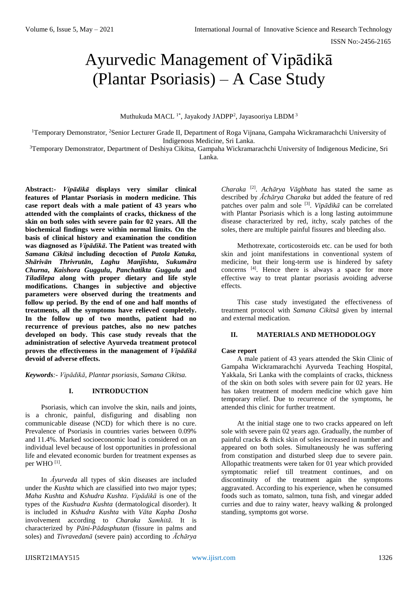# Ayurvedic Management of Vipādikā (Plantar Psoriasis) – A Case Study

Muthukuda MACL<sup>1\*</sup>, Jayakody JADPP<sup>2</sup>, Jayasooriya LBDM<sup>3</sup>

<sup>1</sup>Temporary Demonstrator, <sup>2</sup>Senior Lecturer Grade II, Department of Roga Vijnana, Gampaha Wickramarachchi University of Indigenous Medicine, Sri Lanka.

<sup>3</sup>Temporary Demonstrator, Department of Deshiya Cikitsa, Gampaha Wickramarachchi University of Indigenous Medicine, Sri Lanka.

**Abstract:-** *Vipādikā* **displays very similar clinical features of Plantar Psoriasis in modern medicine. This case report deals with a male patient of 43 years who attended with the complaints of cracks, thickness of the skin on both soles with severe pain for 02 years. All the biochemical findings were within normal limits. On the basis of clinical history and examination the condition was diagnosed as** *Vipādikā***. The Patient was treated with** *Samana Cikitsā* **including decoction of** *Patola Katuka, Shārivān Thrivrutān***,** *Laghu Manjishta***,** *Sukumāra Churna***,** *Kaishora Guggulu***,** *Panchatikta Guggulu* **and**  *Tiladilepa* **along with proper dietary and life style modifications. Changes in subjective and objective parameters were observed during the treatments and follow up period. By the end of one and half months of treatments, all the symptoms have relieved completely. In the follow up of two months, patient had no recurrence of previous patches, also no new patches developed on body. This case study reveals that the administration of selective Ayurveda treatment protocol proves the effectiveness in the management of** *Vipādikā*  **devoid of adverse effects.** 

*Keywords:- Vipādikā, Plantar psoriasis, Samana Cikitsa.*

## **I. INTRODUCTION**

Psoriasis, which can involve the skin, nails and joints, is a chronic, painful, disfiguring and disabling non communicable disease (NCD) for which there is no cure. Prevalence of Psoriasis in countries varies between 0.09% and 11.4%. Marked socioeconomic load is considered on an individual level because of lost opportunities in professional life and elevated economic burden for treatment expenses as per WHO<sup>[1]</sup>.

In *Āyurveda* all types of skin diseases are included under the *Kushta* which are classified into two major types; *Maha Kushta* and *Kshudra Kushta*. *Vipādikā* is one of the types of the *Kushudra Kushta* (dermatological disorder). It is included in *Kshudra Kushta* with *Vāta Kapha Dosha*  involvement according to *Charaka Samhitā*. It is characterized by *Pāni-Pādasphutan* (fissure in palms and soles) and *Tivravedanā* (severe pain) according to *Āchārya*

*Charaka* [2] . *Achārya Vāgbhata* has stated the same as described by *Āchārya Charaka* but added the feature of red patches over palm and sole <sup>[3]</sup>. *Vipādikā* can be correlated with Plantar Psoriasis which is a long lasting autoimmune disease characterized by red, itchy, scaly patches of the soles, there are multiple painful fissures and bleeding also.

Methotrexate, corticosteroids etc. can be used for both skin and joint manifestations in conventional system of medicine, but their long-term use is hindered by safety concerns [4] . Hence there is always a space for more effective way to treat plantar psoriasis avoiding adverse effects.

This case study investigated the effectiveness of treatment protocol with *Samana Cikitsā* given by internal and external medication.

## **II. MATERIALS AND METHODOLOGY**

### **Case report**

A male patient of 43 years attended the Skin Clinic of Gampaha Wickramarachchi Ayurveda Teaching Hospital, Yakkala, Sri Lanka with the complaints of cracks, thickness of the skin on both soles with severe pain for 02 years. He has taken treatment of modern medicine which gave him temporary relief. Due to recurrence of the symptoms, he attended this clinic for further treatment.

At the initial stage one to two cracks appeared on left sole with severe pain 02 years ago. Gradually, the number of painful cracks & thick skin of soles increased in number and appeared on both soles. Simultaneously he was suffering from constipation and disturbed sleep due to severe pain. Allopathic treatments were taken for 01 year which provided symptomatic relief till treatment continues, and on discontinuity of the treatment again the symptoms aggravated. According to his experience, when he consumed foods such as tomato, salmon, tuna fish, and vinegar added curries and due to rainy water, heavy walking & prolonged standing, symptoms got worse.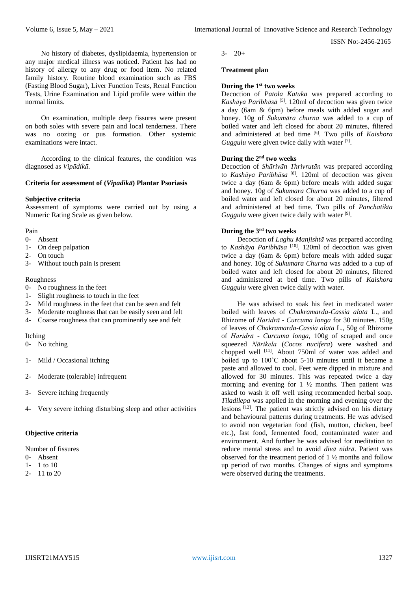No history of diabetes, dyslipidaemia, hypertension or any major medical illness was noticed. Patient has had no history of allergy to any drug or food item. No related family history. Routine blood examination such as FBS (Fasting Blood Sugar), Liver Function Tests, Renal Function Tests, Urine Examination and Lipid profile were within the normal limits.

On examination, multiple deep fissures were present on both soles with severe pain and local tenderness. There was no oozing or pus formation. Other systemic examinations were intact.

According to the clinical features, the condition was diagnosed as *Vipādikā.*

## **Criteria for assessment of (***Vipadikā***) Plantar Psoriasis**

# **Subjective criteria**

Assessment of symptoms were carried out by using a Numeric Rating Scale as given below.

## Pain

- 0- Absent
- 1- On deep palpation
- 2- On touch
- 3- Without touch pain is present

## Roughness

- 0- No roughness in the feet
- 1- Slight roughness to touch in the feet
- 2- Mild roughness in the feet that can be seen and felt
- 3- Moderate roughness that can be easily seen and felt
- 4- Coarse roughness that can prominently see and felt

### Itching

- 0- No itching
- 1- Mild / Occasional itching
- 2- Moderate (tolerable) infrequent
- 3- Severe itching frequently
- Very severe itching disturbing sleep and other activities

## **Objective criteria**

Number of fissures

- 0- Absent
- 1- 1 to 10
- 2- 11 to 20

 $3 - 20 +$ 

## **Treatment plan**

## **During the 1 st two weeks**

Decoction of *Patola Katuka* was prepared according to *Kashāya Paribhāsā* [5] . 120ml of decoction was given twice a day (6am & 6pm) before meals with added sugar and honey. 10g of *Sukumāra churna* was added to a cup of boiled water and left closed for about 20 minutes, filtered and administered at bed time <sup>[6]</sup>. Two pills of *Kaishora Guggulu* were given twice daily with water <sup>[7]</sup>.

# **During the 2nd two weeks**

Decoction of *Shārivān Thrivrutān* was prepared according to *Kashāya Paribhāsa* [8]. 120ml of decoction was given twice a day (6am & 6pm) before meals with added sugar and honey. 10g of *Sukumara Churna* was added to a cup of boiled water and left closed for about 20 minutes, filtered and administered at bed time. Two pills of *Panchatikta*  Guggulu were given twice daily with water [9].

# **During the 3rd two weeks**

Decoction of *Laghu Manjishtā* was prepared according to *Kashāya Paribhāsa* [10]. 120ml of decoction was given twice a day (6am & 6pm) before meals with added sugar and honey. 10g of *Sukumara Churna* was added to a cup of boiled water and left closed for about 20 minutes, filtered and administered at bed time. Two pills of *Kaishora Guggulu* were given twice daily with water.

He was advised to soak his feet in medicated water boiled with leaves of *Chakramarda*-*Cassia alata* L., and Rhizome of *Haridrā* - *Curcuma longa* for 30 minutes. 150g of leaves of *Chakramarda*-*Cassia alata* L., 50g of Rhizome of *Haridrā* - *Curcuma longa*, 100g of scraped and once squeezed *Nārikela* (*Cocos nucifera*) were washed and chopped well  $^{[11]}$ . About 750ml of water was added and boiled up to 100˚C about 5-10 minutes until it became a paste and allowed to cool. Feet were dipped in mixture and allowed for 30 minutes. This was repeated twice a day morning and evening for  $1\frac{1}{2}$  months. Then patient was asked to wash it off well using recommended herbal soap. *Tiladilepa* was applied in the morning and evening over the lesions [12]. The patient was strictly advised on his dietary and behavioural patterns during treatments. He was advised to avoid non vegetarian food (fish, mutton, chicken, beef etc.), fast food, fermented food, contaminated water and environment. And further he was advised for meditation to reduce mental stress and to avoid *divā nidrā*. Patient was observed for the treatment period of 1 ½ months and follow up period of two months. Changes of signs and symptoms were observed during the treatments.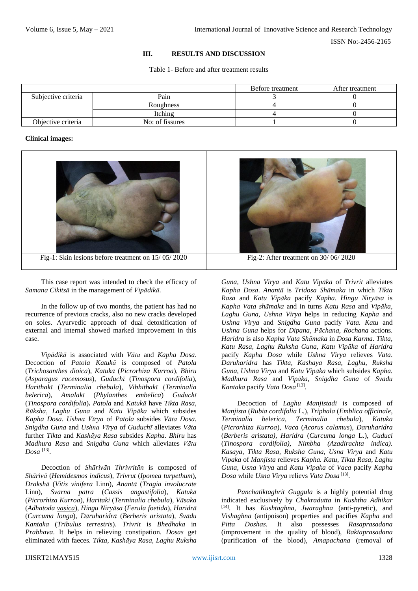## **III. RESULTS AND DISCUSSION**

Table 1- Before and after treatment results

|                     |                  | Before treatment | After treatment |
|---------------------|------------------|------------------|-----------------|
| Subjective criteria | Pain             |                  |                 |
|                     | <b>Roughness</b> |                  |                 |
|                     | Itching          |                  |                 |
| Objective criteria  | No: of fissures  |                  |                 |

#### **Clinical images:**



This case report was intended to check the efficacy of *Samana Cikitsā* in the management of *Vipādikā.*

In the follow up of two months, the patient has had no recurrence of previous cracks, also no new cracks developed on soles. Ayurvedic approach of dual detoxification of external and internal showed marked improvement in this case.

*Vipādikā* is associated with *Vāta* and *Kapha Dosa*. Decoction of *Patola Katukā* is composed of *Patola* (*Trichosanthes dioica*), *Katukā* (*Picrorhiza Kurroa*), *Bhiru*  (*Asparagus racemosus*), *Guduchī* (*Tinospora cordifolia*), *Harithakī* (*Terminalia chebula*), *Vibhithakī* (*Terminalia belerica*), *Amalakī* (*Phylanthes embelica*) *Guduchī*  (*Tinospora cordifolia*)**.** *Patola* and *Katukā* have *Tikta Rasa*, *Rūksha*, *Laghu Guna* and *Katu Vipāka* which subsides *Kapha Dosa*. *Ushna Vīrya* of *Patola* subsides *Vāta Dosa*. *Snigdha Guna* and *Ushna Vīrya* of *Guduchī* alleviates *Vāta* further *Tikta* and *Kashāya Rasa* subsides *Kapha. Bhiru* has *Madhura Rasa* and *Snigdha Guna* which alleviates *Vāta Dosa* [13] *.*

Decoction of *Shārivān Thrivritān* is composed of *Shārivā* (*Hemidesmos indicus*), *Trivrut* (*Ipomea turpethum*), *Drakshā* (*Vitis vinifera* Linn), *Anantā* (*Tragia involucrate* Linn), *Svarna patra* (*Cassis angastifolia*), *Katukā* (*Picrorhiza Kurroa*), *Haritaki* (*Terminalia chebula*), *Vāsaka* (*Adhatoda vasica*), *Hingu Niryāsa* (*Ferula foetida*), *Haridrā* (*Curcuma longa*), *Dāruharidrā* (*Berberis aristata*), *Svādu Kantaka* (*Tribulus terrestris*). *Trivrit* is *Bhedhaka* in *Prabhava*. It helps in relieving constipation. *Dosas* get eliminated with faeces. *Tikta, Kashāya Rasa, Laghu Ruksha* 

*Guna, Ushna Virya* and *Katu Vipāka* of *Trivrit* alleviates *Kapha Dosa*. *Anantā* is *Tridosa Shāmaka* in which *Tikta Rasa* and *Katu Vipāka* pacify *Kapha*. *Hingu Niryāsa* is *Kapha Vata shāmaka* and in turns *Katu Rasa* and *Vipāka, Laghu Guna, Ushna Virya* helps in reducing *Kapha* and *Ushna Virya* and *Snigdha Guna* pacify *Vata. Katu* and *Ushna Guna* helps for *Dipana*, *Pāchana*, *Rochana* actions. *Haridra* is also *Kapha Vata Shāmaka* in *Dosa Karma*. *Tikta, Katu Rasa, Laghu Ruksha Guna, Katu Vipāka* of *Haridra* pacify *Kapha Dosa* while *Ushna Virya* relieves *Vata*. *Daruharidra* has *Tikta, Kashaya Rasa, Laghu, Ruksha Guna*, *Ushna Virya* and *Katu Vipāka* which subsides *Kapha. Madhura Rasa* and *Vipāka, Snigdha Guna* of *Svadu Kantaka* pacify *Vata Dosa* [13] .

Decoction of *Laghu Manjistadi* is composed of *Manjista* (*Rubia cordifolia* L.), *Triphala* (*Emblica officinale*, *Terminalia belerica, Terminalia chebula*), *Katuka* (*Picrorhiza Kurroa*), *Vaca* (*Acorus calamus*), *Daruharidra* (*Berberis aristata), Haridra* (*Curcuma longa* L.), *Guduci* (*Tinospora cordifolia), Nimbha (Azadirachta indica). Kasaya, Tikta Rasa, Ruksha Guna, Usna Virya* and *Katu Vipaka* of *Manjista* relieves *Kapha. Katu, Tikta Rasa, Laghu Guna, Usna Virya* and *Katu Vipaka* of *Vaca* pacify *Kapha Dosa* while *Usna Virya* relievs *Vata Dosa* [13] .

*Panchatiktaghrit Guggula* is a highly potential drug indicated exclusively by *Chakradutta* in *Kushtha Adhikar* [14] . It has *Kushtaghna, Jwaraghna* (anti-pyretic), and *Vishaghna* (antipoison) properties and pacifies *Kapha* and *Pitta Doshas*. It also possesses *Rasaprasadana* (improvement in the quality of blood), *Raktaprasadana* (purification of the blood), *Amapachana* (removal of